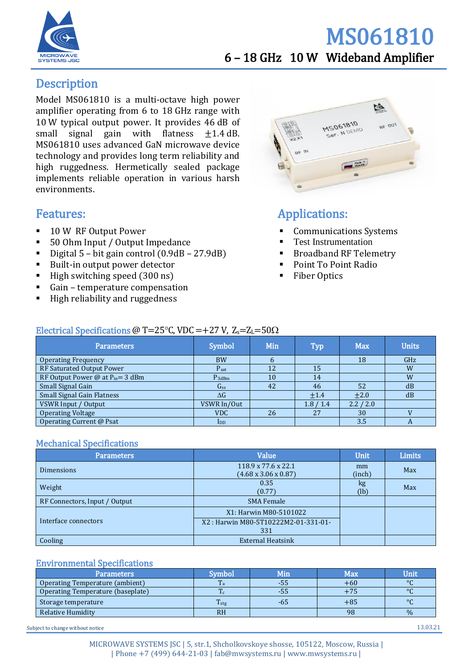

## MS061810 6 – 18 GHz 10 W Wideband Amplifier

## **Description**

Model MS061810 is a multi-octave high power amplifier operating from 6 to 18 GHz range with 10 W typical output power. It provides 46 dB of small signal gain with flatness  $\pm 1.4$  dB. MS061810 uses advanced GaN microwave device technology and provides long term reliability and high ruggedness. Hermetically sealed package implements reliable operation in various harsh environments.

## Features:

- 10 W RF Output Power
- 50 Ohm Input / Output Impedance
- Digital 5 bit gain control  $(0.9dB 27.9dB)$
- Built-in output power detector
- $\blacksquare$  High switching speed (300 ns)
- Gain temperature compensation
- High reliability and ruggedness



## Applications:

- Communications Systems
- **Test Instrumentation**
- **Broadband RF Telemetry**
- Point To Point Radio
- **Fiber Optics**

#### Electrical Specifications @ T=25 $\degree$ C, VDC = +27 V, Z<sub>s</sub>=Z<sub>L</sub>=50 $\Omega$

| Parameters                            | <b>Symbol</b>            | Min    | <b>Typ</b> | <b>Max</b> | <b>Units</b> |
|---------------------------------------|--------------------------|--------|------------|------------|--------------|
| <b>Operating Frequency</b>            | <b>BW</b>                | h      |            | 18         | GHz          |
| RF Saturated Output Power             | $P_{sat}$                | 12     | 15         |            | W            |
| RF Output Power @ at $P_{in} = 3$ dBm | $P_{3dBm}$               | $10\,$ | 14         |            | W            |
| Small Signal Gain                     | G <sub>ss</sub>          | 42     | 46         | 52         | dB           |
| <b>Small Signal Gain Flatness</b>     | $\Delta G$               |        | ±1.4       | $+2.0$     | dB           |
| VSWR Input / Output                   | VSWR In/Out              |        | 1.8 / 1.4  | 2.2 / 2.0  |              |
| <b>Operating Voltage</b>              | <b>VDC</b>               | 26     | 27         | 30         |              |
| Operating Current @ Psat              | $\mathbf{I}_{\text{DD}}$ |        |            | 3.5        | A            |

#### Mechanical Specifications

| <b>Parameters</b>             | Value                               | Unit.  | <b>Limits</b> |
|-------------------------------|-------------------------------------|--------|---------------|
| <b>Dimensions</b>             | 118.9 x 77.6 x 22.1                 | mm     | Max           |
|                               | $(4.68 \times 3.06 \times 0.87)$    | (inch) |               |
| Weight                        | 0.35                                | kg     | Max           |
|                               | (0.77)                              | (lb)   |               |
| RF Connectors, Input / Output | <b>SMA Female</b>                   |        |               |
|                               | X1: Harwin M80-5101022              |        |               |
| Interface connectors          | X2: Harwin M80-5T10222M2-01-331-01- |        |               |
|                               | 331                                 |        |               |
| Cooling                       | <b>External Heatsink</b>            |        |               |

#### Environmental Specifications

| <b>Parameters</b>                 | Svmbol           | Min | <b>Max</b> | Unit    |
|-----------------------------------|------------------|-----|------------|---------|
| Operating Temperature (ambient)   | 1 a              | -55 | $+60$      | $\circ$ |
| Operating Temperature (baseplate) | m<br>1 C         | -55 | $+75$      | $\circ$ |
| Storage temperature               | $T_{\text{stg}}$ | -65 | +85        | $\circ$ |
| Relative Humidity                 | <b>RH</b>        |     | 98         | $\%$    |

Subject to change without notice 13.03.21